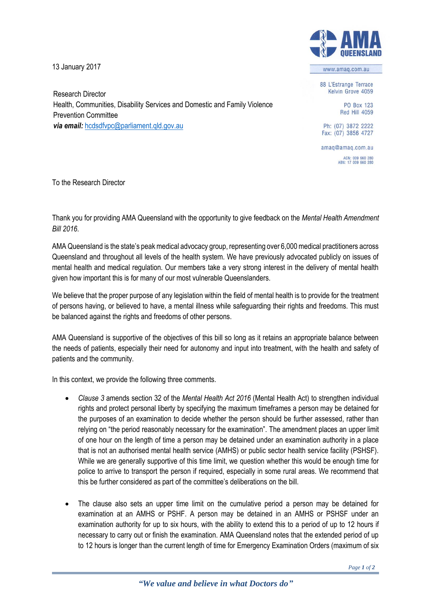13 January 2017

Research Director

Prevention Committee

*via email:* [hcdsdfvpc@parliament.qld.gov.au](mailto:hcdsdfvpc@parliament.qld.gov.au%3cmailto:hcdsdfvpc@parliament.qld.gov.au)



www.amag.com.au

88 L'Estrange Terrace Kelvin Grove 4059

> PO Box 123 **Red Hill 4059**

Ph: (07) 3872 2222 Fax: (07) 3856 4727

amag@amag.com.au ACN: 009 660 280<br>ABN: 17 009 660 280

To the Research Director

Thank you for providing AMA Queensland with the opportunity to give feedback on the *Mental Health Amendment Bill 2016*.

Health, Communities, Disability Services and Domestic and Family Violence

AMA Queensland is the state's peak medical advocacy group, representing over 6,000 medical practitioners across Queensland and throughout all levels of the health system. We have previously advocated publicly on issues of mental health and medical regulation. Our members take a very strong interest in the delivery of mental health given how important this is for many of our most vulnerable Queenslanders.

We believe that the proper purpose of any legislation within the field of mental health is to provide for the treatment of persons having, or believed to have, a mental illness while safeguarding their rights and freedoms. This must be balanced against the rights and freedoms of other persons.

AMA Queensland is supportive of the objectives of this bill so long as it retains an appropriate balance between the needs of patients, especially their need for autonomy and input into treatment, with the health and safety of patients and the community.

In this context, we provide the following three comments.

- *Clause 3* amends section 32 of the *Mental Health Act 2016* (Mental Health Act) to strengthen individual rights and protect personal liberty by specifying the maximum timeframes a person may be detained for the purposes of an examination to decide whether the person should be further assessed, rather than relying on "the period reasonably necessary for the examination". The amendment places an upper limit of one hour on the length of time a person may be detained under an examination authority in a place that is not an authorised mental health service (AMHS) or public sector health service facility (PSHSF). While we are generally supportive of this time limit, we question whether this would be enough time for police to arrive to transport the person if required, especially in some rural areas. We recommend that this be further considered as part of the committee's deliberations on the bill.
- The clause also sets an upper time limit on the cumulative period a person may be detained for examination at an AMHS or PSHF. A person may be detained in an AMHS or PSHSF under an examination authority for up to six hours, with the ability to extend this to a period of up to 12 hours if necessary to carry out or finish the examination. AMA Queensland notes that the extended period of up to 12 hours is longer than the current length of time for Emergency Examination Orders (maximum of six